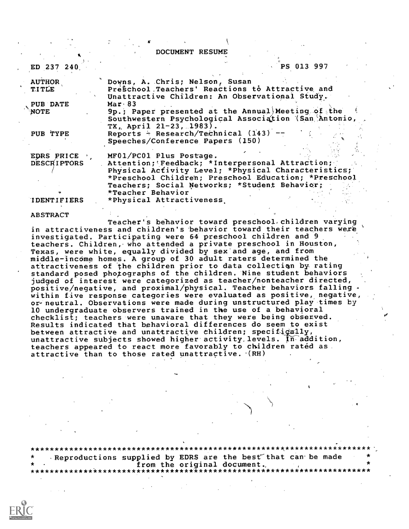|                               | DOCUMENT RESUME                                                                                                                                                |
|-------------------------------|----------------------------------------------------------------------------------------------------------------------------------------------------------------|
| ED 237 240                    | PS 013 997                                                                                                                                                     |
| <b>AUTHOR</b><br><b>TITLE</b> | Downs, A. Chris; Nelson, Susan<br>Preschool Teachers' Reactions to Attractive and<br>Unattractive Children: An Observational Study.                            |
| PUB DATE                      | <b>Mar 83</b>                                                                                                                                                  |
| <b>NOTE</b>                   | 9p.; Paper presented at the Annual) Meeting of the<br>Southwestern Psychological Association (San Antonio,<br>TX, April 21-23, 1983).                          |
| PUB TYPE                      | Reports $\div$ Research/Technical (143) --<br>Speeches/Conference Papers (150)                                                                                 |
| EDRS PRICE                    | MF01/PC01 Plus Postage.                                                                                                                                        |
| <b>DESCRIPTORS</b>            | Attention; Feedback; *Interpersonal Attraction;<br>Physical Activity Level; *Physical Characteristics;<br>*Preschool Children; Preschool Education; *Preschool |
|                               | Teachers; Social Networks; *Student Behavior;<br>*Teacher Behavior                                                                                             |
| <b>IDENTIFIERS</b>            | *Physical Attractiveness                                                                                                                                       |

## ABSTRACT

Teacher's behavior toward preschool children varying in attractiveness and children's behavior toward their teachers were investigated. Participating were 64 preschool children and 9 teachers. Children, who attended a private preschool in Houston, Texas, were white, equally divided by sex and age, and from middle-income homes. A group of 30 adult raters determined the attractiveness of the children prior to data collectiqn by rating standard posed photographs of the children. Nine student behaviors judged of interest were categorized as teacher/nonteacher directed,  $\overline{\text{positive}}$ /negative, and  $\overline{\text{proximal}}$ /physical. Teacher behaviors falling within five response categories were evaluated as positive, negative, or- neutral. Observations were made during unstructured play times by 10 undergraduate observers trained in the use of a behavioral checklist; teachers were unaware that they were being observed. Results indicated that behavioral differences do seem to exist unattractive subjects showed higher activity levels. In addition, between attractive and unattractive children; specifigally, teachers appeared to react more favorably to children rated as. attractive than to those rated unattractive. '(RH)

\*\*\*\*\*\*\*\* \*\*\*\*\*\*\*\*\*\*\*\*\*\*\*\*\*\*\*\*\*\*\*\*\*\*\*\*\*\*\* Reproductions supplied by EDRS are the best that can be made \* from the original document, , \* \*\*\*\*\*\*\*\*\*\*\*\*\*\*\*\*\*\* \* \*\*\*\*\*\*\*\*\*\*\*\*\*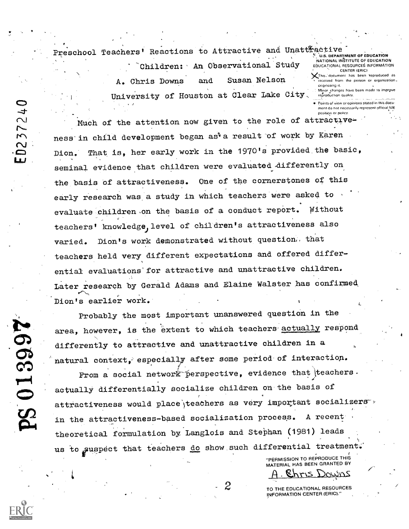Preschool Teachers' Reactions to Attractive and Unattractive

Children: An Observational Study Susan Nelson and A. Chris Downs University of Houston at Clear Lake City.

U.S. DEPARTMENT OF EDUCATION NATIONAL INSTITUTE OF EDUCATION EDUCATIONAL RESOURCES INFORMATION CENTER (ERIC)

This document has been reproduced as received from the person or organization. oriamating it. Minor changes have been made to improve

reproduction quality

Points of view or coinions stated in this document do not necessarily represent official NIE position or policy

Much of the attention now given to the role of attractiveness in child development began as a result of work by Karen That is, her early work in the 1970's provided the basic, Dion. seminal evidence that children were evaluated differently on the basis of attractiveness. One of the cornerstones of this early research was a study in which teachers were asked to evaluate children on the basis of a conduct report. Without teachers' knowledge, level of children's attractiveness also Dion's work demonstrated without question. that varied. teachers held very different expectations and offered differential evaluations for attractive and unattractive children. Later research by Gerald Adams and Elaine Walster has confirmed Dion's earlier work.

Probably the most important unanswered question in the area, however, is the extent to which teachers actually respond differently to attractive and unattractive children in a natural context, especially after some period of interaction.

From a social network perspective, evidence that teachers. actually differentially socialize children on the basis of attractiveness would place teachers as very important socializers in the attractiveness-based socialization process. A recent theoretical formulation by Langlois and Stephan (1981) leads us to suspect that teachers do show such differential treatment.

"PERMISSION TO REPRODUCE THIS MATERIAL HAS BEEN GRANTED BY Chris Downs

TO THE EDUCATIONAL RESOURCES INFORMATION CENTER (ERIC)."

**PS 013997** 

10237240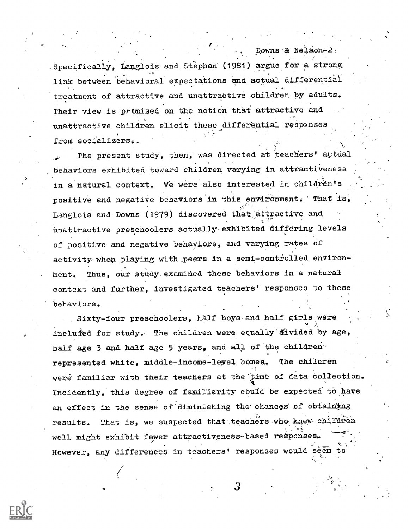Specifically, Langlois and Stephan (1981) argue for a strong which link between behavioral expectations and actual differential treatment of attractive and unattractive children by adults. Their view is premised on the notion that attractive and unattractive children elicit these differential responses from socializers.

Downs & Nelson-2.

The present study, then, was directed at teachers' actual behaviors exhibited toward children varying in attractiveness in a natural context. We were also interested in children's positive and negative behaviors'in this environment. That is, Langlois and Downs (1979) discovered that attractive and unattractive preschoolers actually exhibited differing levels of positive and negative behaviors, and varying rates of activity-when playing with peers in a semi-controlled environment. Thus, our study,examined these behaviors in a natural context and further, investigated teachers' responses to these behaviors.

Sixty-four preschoolers, half'boys-and half girls-were included for study. The children were equally divided by age, half age 3 and half age 5 years, and all of the childrenrepresented white, middle-income-level homea. The children were familiar with their teachers at the time of data collection. Incidently, this degree of familiarity could be expected to have an effect in the sense of diminishing the chances of obtaining results. That is, we suspected that teachers who knew children well might exhibit fewer attractiveness-based responses. However, any differences in teachers' responses would seem to



3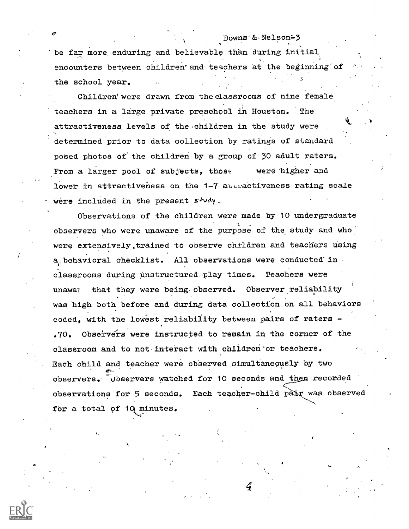Downs'& Nelson-3 'be far more enduring and believable than during initial encounters between children' and teachers at the beginning of the school year.

Children' were drawn from the classrooms of nine female teachers in a large private preschool in Houston. The attractiveness levels of the children in the study were. determined prior to data collection by ratings of-standard posed photos of the children by a group of'30 adult raters. From a larger pool of subjects, those were higher and lower in attractiveness on the  $1-7$  attractiveness rating scale were included in the present  $s$ tudy.

Observations of the children were made by 10 undergraduate observers who were unaware of the purpose of the study and who were extensively,trained to observe children and teachers using a behavioral checklist. All observations were conducted' in classrooms during unstructured play times. Teachers were unawai that they were being observed. Observer reliability was high both before and during data collection on all behaviors  $\text{code},$  with the lowest reliability between pairs of raters = .70. Observers were instructed to remain in the corner of the classroom and to not-interact with chIldren'or teachers. Each child and teacher were observed simultaneously by two observers. Observers watched for 10 seconds and then recorded observations for 5 seconds. Each teacher-child pair was observed for a total of  $10$  minutes.

4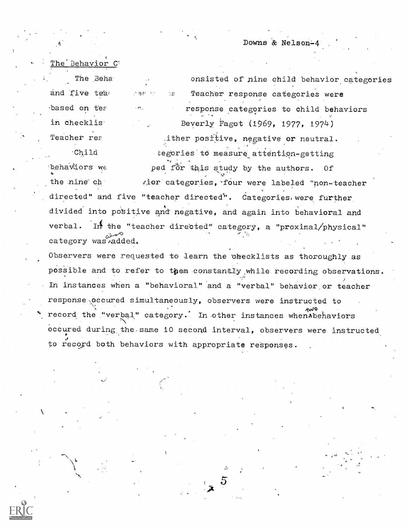Downs & Nelson-4

The Behavior C' The Beha and five tead based on tea in checklis<sup>.</sup> Teacher res

'∃,€

 $\Sigma$ 

onsisted of nine child behavior categories Teacher response categories were response categories to child behaviors Beverly Fagot (1969, 1977, 1974) ither positive, negative or neutral.

Child tegories to measure attention-getting behaviors we ped for this study by the authors. 0f vior categories, four were labeled "non-teacher the nine ch directed" and five "teacher directed". Categories were further divided into positive and negative, and again into behavioral and In the "teacher directed" category, a "proximal/physical" verbal. category was added.

Observers were requested to learn the checklists as thoroughly as possible and to refer to them constantly while recording observations. In instances when a "behavioral" and a "verbal" behavior or teacher response occured simultaneously, observers were instructed to record the "verbal" category. In other instances when Abehaviors occured during the same 10 second interval, observers were instructed to record both behaviors with appropriate responses.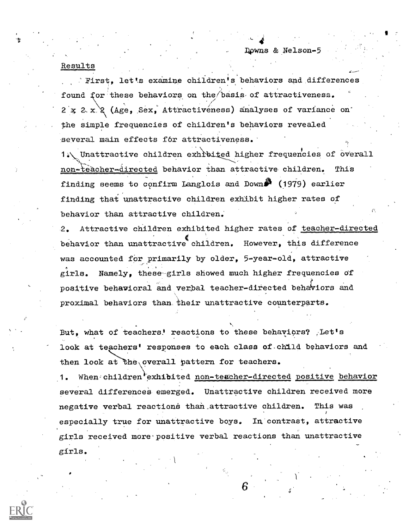## Results

First, let's examine children's behaviors and differences found for these behaviors on the/basis-of attractiveness.  $2 \times 2 \times 2$  (Age, Sex, Attractiveness) analyses of variance on the simple frequencies of children's behaviors revealed several main effects for attractiveness.

1.\, Unattractive children exhibited higher frequencies of overall non-teacher-directed behavior than attractive children. This finding seems to confirm Langlois and Down $\beta$  (1979) earlier finding that unattractive children exhibit higher rates of behavior than attractive children.'

2. Attractive children exhibited higher rates of teacher-directed behavior than unattractive children. However, this difference was accounted for primarily by older, 5-year-old, attractive girls. Namely, these-girls showed much higher frequencies Of positive behavioral and verbal teacher-directed behaviors and proximal behaviors than, their unattractive counterparts.

But, what of teachers! reactions to these behaviors?  $\mathcal{F}$  Let's look at teachers' responses to each class of child behaviors and then look at the overall pattern for teachers.

1. When children exhibited non-teacher-directed positive behavior several differences emerged, Unattractive children received more negative verbal reactions than attractive children. This was especially true for unattractive boys. In contrast, attractive girls received more positive verbal reactions than unattractive girls.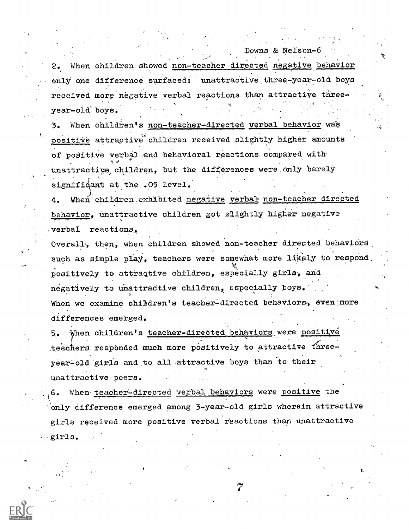When children showed non-teacher directed negative behavior 2. only one difference surfaced: unattractive three-year-old boys received more negative verbal reactions than attractive threeyear-old boys.

Downs & Nelson-6

3. When children's non-teacher-directed verbal behavior was positive attractive children received slightly higher amounts of positive verbal and behavioral reactions compared with unattractive children, but the differences were only barely significant at the .05 level.

When children exhibited negative verbal non-teacher directed behavior, unattractive children got slightly higher negative verbal reactions.

Overall, then, when children showed non-teacher directed behaviors such as simple play, teachers were somewhat more likely to respond. positively to attractive children, especially girls, and negatively to unattractive children, especially boys. When we examine children's teacher-directed behaviors, even more differences emerged

When children's teacher-directed behaviors were positive teachers responded much more positively to attractive threeyear-old girls and to all attractive boys than to their unattractive peers.

6. When teacher-directed verbal behaviors were positive the only difference emerged among 3-year-old girls wherein attractive girls received more positive verbal reactions than unattractive girls.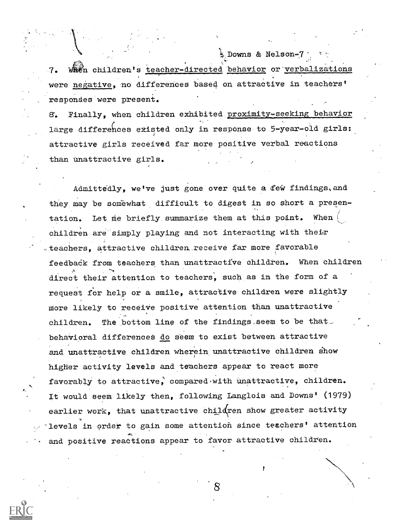$\frac{1}{2}$  Downs & Nelson-7 . 7. When children's teacher-directed behavior or verbalizations were negative, mo differences based on attractive in teachers' responses were present.

8. Finally, when Children exhibited proximity-seeking behavior large differences existed only in response to 5-year-old girls: attractive girls received far more positive verbal reactions than unattractive girls.

Admittedly, we've just gone over quite a few findings, and they may be somewhat difficult to digest in so short a presentation. Let me briefly summarize them at this point. When children are simply playing and not interacting with their teachers, attractive children.receive far more favorable feedback from teachers than unattractive children. When children direct their attention to teachers, such as in the form of a request for help or a smile, attractive children were slightly More likely to receive positive attention than unattractive children. The bottom line of the findings.seem to be that behavioral differences do seem to exist between attractive and unattractive children wherein unattractive children show higher activity levels and teachers appear to react more favorably to attractive, compared with unattractive, children. It would seem likely then, following Langlois and Downs' (1979) earlier work, that unattractive children show greater activity levels in order to gain some attention since teachers' attention and positive reactions appear to favor attractive children.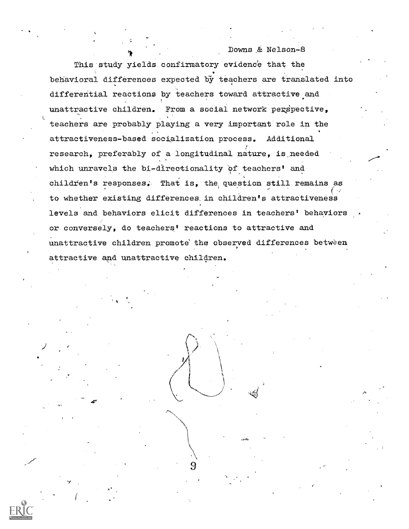Downs & Nelson-8 This study yields confirmatory evidence that the behavioral differences expected by teachers are translated into differential reactions by teachers toward attractive and unattractive children. From a social network perspective, teachers are probably playing a very important role in the attractiveness-based socialization process. Additional research, preferably of a longitudinal nature, is\_needed which unravels the bi-directionality of teachers' and children's responses. That is, the question still remains as to whether existing differences, in children's attractiveness levels and behaviors elicit differences in teachers' behaviors or conversely, do teachers' reactions to attractive and unattractive children promote the observed differences between attractive and unattractive children.